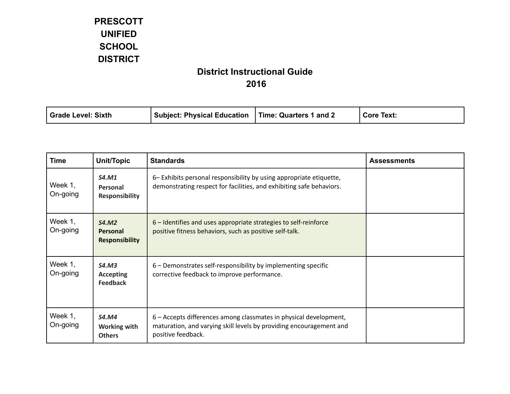| Time: Quarters 1 and 2<br>Grade Level: Sixth<br>' Subject: Physical Education<br><b>Core Text:</b> |  |
|----------------------------------------------------------------------------------------------------|--|
|----------------------------------------------------------------------------------------------------|--|

| <b>Time</b>         | <b>Unit/Topic</b>                                    | <b>Standards</b>                                                                                                                                               | <b>Assessments</b> |
|---------------------|------------------------------------------------------|----------------------------------------------------------------------------------------------------------------------------------------------------------------|--------------------|
| Week 1,<br>On-going | <b>S4.M1</b><br>Personal<br><b>Responsibility</b>    | 6– Exhibits personal responsibility by using appropriate etiquette,<br>demonstrating respect for facilities, and exhibiting safe behaviors.                    |                    |
| Week 1,<br>On-going | S4.M2<br><b>Personal</b><br><b>Responsibility</b>    | 6 – Identifies and uses appropriate strategies to self-reinforce<br>positive fitness behaviors, such as positive self-talk.                                    |                    |
| Week 1,<br>On-going | <b>S4.M3</b><br><b>Accepting</b><br><b>Feedback</b>  | 6 - Demonstrates self-responsibility by implementing specific<br>corrective feedback to improve performance.                                                   |                    |
| Week 1,<br>On-going | <b>S4.M4</b><br><b>Working with</b><br><b>Others</b> | 6 - Accepts differences among classmates in physical development,<br>maturation, and varying skill levels by providing encouragement and<br>positive feedback. |                    |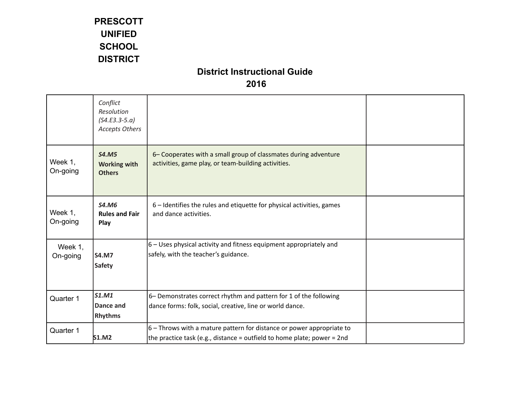|                     | Conflict<br>Resolution<br>$(S4.E3.3-5.a)$<br><b>Accepts Others</b> |                                                                                                                                                    |  |
|---------------------|--------------------------------------------------------------------|----------------------------------------------------------------------------------------------------------------------------------------------------|--|
| Week 1,<br>On-going | <b>S4.M5</b><br><b>Working with</b><br><b>Others</b>               | 6- Cooperates with a small group of classmates during adventure<br>activities, game play, or team-building activities.                             |  |
| Week 1,<br>On-going | <b>S4.M6</b><br><b>Rules and Fair</b><br>Play                      | 6 - Identifies the rules and etiquette for physical activities, games<br>and dance activities.                                                     |  |
| Week 1,<br>On-going | <b>S4.M7</b><br><b>Safety</b>                                      | $6$ – Uses physical activity and fitness equipment appropriately and<br>safely, with the teacher's guidance.                                       |  |
| Quarter 1           | S1.M1<br>Dance and<br><b>Rhythms</b>                               | 6- Demonstrates correct rhythm and pattern for 1 of the following<br>dance forms: folk, social, creative, line or world dance.                     |  |
| Quarter 1           | <b>S1.M2</b>                                                       | $6$ – Throws with a mature pattern for distance or power appropriate to<br>the practice task (e.g., distance = outfield to home plate; power = 2nd |  |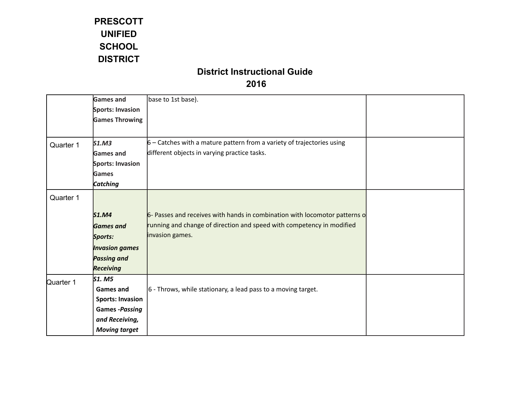|           | <b>Games and</b>        | base to 1st base).                                                         |  |
|-----------|-------------------------|----------------------------------------------------------------------------|--|
|           | <b>Sports: Invasion</b> |                                                                            |  |
|           | <b>Games Throwing</b>   |                                                                            |  |
|           |                         |                                                                            |  |
| Quarter 1 | S1.M3                   | $6$ – Catches with a mature pattern from a variety of trajectories using   |  |
|           | <b>Games and</b>        | different objects in varying practice tasks.                               |  |
|           | Sports: Invasion        |                                                                            |  |
|           | Games                   |                                                                            |  |
|           | <b>Catching</b>         |                                                                            |  |
| Quarter 1 |                         |                                                                            |  |
|           |                         |                                                                            |  |
|           | S1.M4                   | 6- Passes and receives with hands in combination with locomotor patterns o |  |
|           | <b>Games</b> and        | running and change of direction and speed with competency in modified      |  |
|           | Sports:                 | invasion games.                                                            |  |
|           | <b>Invasion games</b>   |                                                                            |  |
|           | <b>Passing and</b>      |                                                                            |  |
|           | <b>Receiving</b>        |                                                                            |  |
| Quarter 1 | S1. M5                  |                                                                            |  |
|           | <b>Games and</b>        | $ 6 - Throws$ , while stationary, a lead pass to a moving target.          |  |
|           | <b>Sports: Invasion</b> |                                                                            |  |
|           | <b>Games -Passing</b>   |                                                                            |  |
|           | and Receiving,          |                                                                            |  |
|           | <b>Moving target</b>    |                                                                            |  |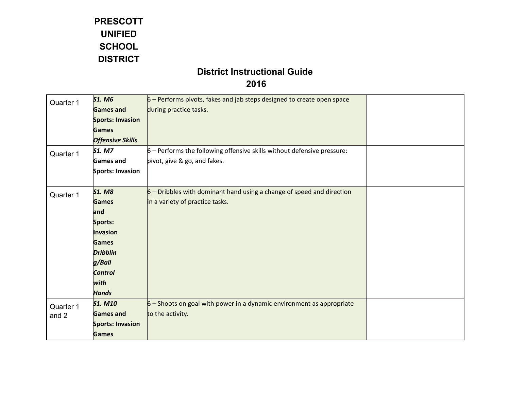# **District Instructional Guide**

#### **2016**

| Quarter 1 | <b>S1. M6</b>           | $6$ – Performs pivots, fakes and jab steps designed to create open space  |  |
|-----------|-------------------------|---------------------------------------------------------------------------|--|
|           | <b>Games and</b>        | during practice tasks.                                                    |  |
|           | <b>Sports: Invasion</b> |                                                                           |  |
|           | <b>Games</b>            |                                                                           |  |
|           | <b>Offensive Skills</b> |                                                                           |  |
| Quarter 1 | <b>S1. M7</b>           | $6$ – Performs the following offensive skills without defensive pressure: |  |
|           | Games and               | pivot, give & go, and fakes.                                              |  |
|           | Sports: Invasion        |                                                                           |  |
|           |                         |                                                                           |  |
| Quarter 1 | <b>S1. M8</b>           | $6$ – Dribbles with dominant hand using a change of speed and direction   |  |
|           | <b>Games</b>            | in a variety of practice tasks.                                           |  |
|           | and                     |                                                                           |  |
|           | Sports:                 |                                                                           |  |
|           | Invasion                |                                                                           |  |
|           | <b>Games</b>            |                                                                           |  |
|           | <b>Dribblin</b>         |                                                                           |  |
|           | g/Ball                  |                                                                           |  |
|           | <b>Control</b>          |                                                                           |  |
|           | with                    |                                                                           |  |
|           | <b>Hands</b>            |                                                                           |  |
| Quarter 1 | <b>S1. M10</b>          | $6$ – Shoots on goal with power in a dynamic environment as appropriate   |  |
| and 2     | <b>Games and</b>        | to the activity.                                                          |  |
|           | <b>Sports: Invasion</b> |                                                                           |  |
|           | <b>Games</b>            |                                                                           |  |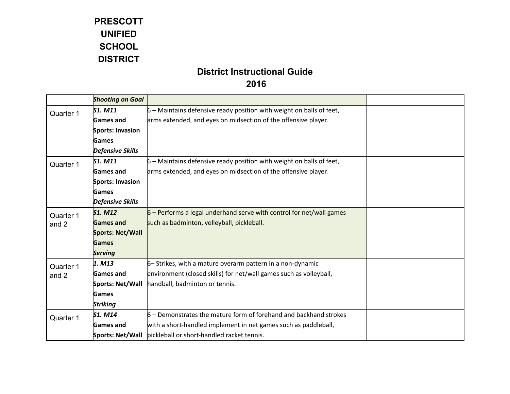|           | <b>Shooting on Goal</b> |                                                                        |  |
|-----------|-------------------------|------------------------------------------------------------------------|--|
| Quarter 1 | S1. M11                 | $6$ – Maintains defensive ready position with weight on balls of feet, |  |
|           | Games and               | arms extended, and eyes on midsection of the offensive player.         |  |
|           | Sports: Invasion        |                                                                        |  |
|           | <b>Games</b>            |                                                                        |  |
|           | <b>Defensive Skills</b> |                                                                        |  |
| Quarter 1 | $S1.$ M11               | $6$ – Maintains defensive ready position with weight on balls of feet, |  |
|           | Games and               | arms extended, and eyes on midsection of the offensive player.         |  |
|           | Sports: Invasion        |                                                                        |  |
|           | Games                   |                                                                        |  |
|           | <b>Defensive Skills</b> |                                                                        |  |
| Quarter 1 | <b>S1. M12</b>          | $6$ – Performs a legal underhand serve with control for net/wall games |  |
| and 2     | <b>Games and</b>        | such as badminton, volleyball, pickleball.                             |  |
|           | Sports: Net/Wall        |                                                                        |  |
|           | <b>Games</b>            |                                                                        |  |
|           | <b>Serving</b>          |                                                                        |  |
| Quarter 1 | $1.$ M13                | $6-$ Strikes, with a mature overarm pattern in a non-dynamic           |  |
| and 2     | <b>Games and</b>        | environment (closed skills) for net/wall games such as volleyball,     |  |
|           | Sports: Net/Wall        | handball, badminton or tennis.                                         |  |
|           | Games                   |                                                                        |  |
|           | <b>Striking</b>         |                                                                        |  |
| Quarter 1 | S1. M14                 | $6$ – Demonstrates the mature form of forehand and backhand strokes    |  |
|           | Games and               | with a short-handled implement in net games such as paddleball,        |  |
|           | Sports: Net/Wall        | pickleball or short-handled racket tennis.                             |  |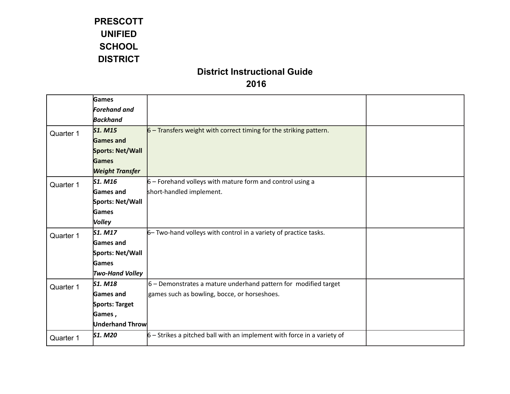|           | Games                  |                                                                           |  |
|-----------|------------------------|---------------------------------------------------------------------------|--|
|           | <b>Forehand and</b>    |                                                                           |  |
|           | <b>Backhand</b>        |                                                                           |  |
| Quarter 1 | <b>S1. M15</b>         | $6$ – Transfers weight with correct timing for the striking pattern.      |  |
|           | <b>Games and</b>       |                                                                           |  |
|           | Sports: Net/Wall       |                                                                           |  |
|           | <b>Games</b>           |                                                                           |  |
|           | <b>Weight Transfer</b> |                                                                           |  |
| Quarter 1 | S1. M16                | $6$ – Forehand volleys with mature form and control using a               |  |
|           | <b>Games and</b>       | short-handled implement.                                                  |  |
|           | Sports: Net/Wall       |                                                                           |  |
|           | Games                  |                                                                           |  |
|           | <b>Volley</b>          |                                                                           |  |
| Quarter 1 | S1. M17                | 6- Two-hand volleys with control in a variety of practice tasks.          |  |
|           | <b>Games</b> and       |                                                                           |  |
|           | Sports: Net/Wall       |                                                                           |  |
|           | Games                  |                                                                           |  |
|           | <b>Two-Hand Volley</b> |                                                                           |  |
| Quarter 1 | S1. M18                | $6$ – Demonstrates a mature underhand pattern for modified target         |  |
|           | Games and              | games such as bowling, bocce, or horseshoes.                              |  |
|           | Sports: Target         |                                                                           |  |
|           | Games,                 |                                                                           |  |
|           | <b>Underhand Throw</b> |                                                                           |  |
| Quarter 1 | <b>S1. M20</b>         | $6$ – Strikes a pitched ball with an implement with force in a variety of |  |
|           |                        |                                                                           |  |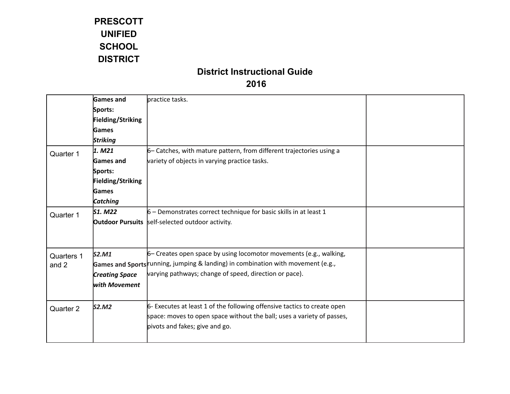|            | <b>Games and</b>         | practice tasks.                                                                  |  |
|------------|--------------------------|----------------------------------------------------------------------------------|--|
|            | Sports:                  |                                                                                  |  |
|            | <b>Fielding/Striking</b> |                                                                                  |  |
|            | Games                    |                                                                                  |  |
|            | <b>Striking</b>          |                                                                                  |  |
| Quarter 1  | 1. M21                   | 6 - Catches, with mature pattern, from different trajectories using a            |  |
|            | <b>Games</b> and         | variety of objects in varying practice tasks.                                    |  |
|            | Sports:                  |                                                                                  |  |
|            | <b>Fielding/Striking</b> |                                                                                  |  |
|            | Games                    |                                                                                  |  |
|            | Catching                 |                                                                                  |  |
| Quarter 1  | S1. M22                  | $6$ – Demonstrates correct technique for basic skills in at least 1              |  |
|            |                          | <b>Outdoor Pursuits</b> self-selected outdoor activity.                          |  |
|            |                          |                                                                                  |  |
|            |                          |                                                                                  |  |
| Quarters 1 | S2.M1                    | 6 - Creates open space by using locomotor movements (e.g., walking,              |  |
| and 2      |                          | Games and Sports running, jumping & landing) in combination with movement (e.g., |  |
|            | <b>Creating Space</b>    | varying pathways; change of speed, direction or pace).                           |  |
|            | with Movement            |                                                                                  |  |
|            |                          |                                                                                  |  |
| Quarter 2  | S2.M2                    | 6- Executes at least 1 of the following offensive tactics to create open         |  |
|            |                          | space: moves to open space without the ball; uses a variety of passes,           |  |
|            |                          | pivots and fakes; give and go.                                                   |  |
|            |                          |                                                                                  |  |
|            |                          |                                                                                  |  |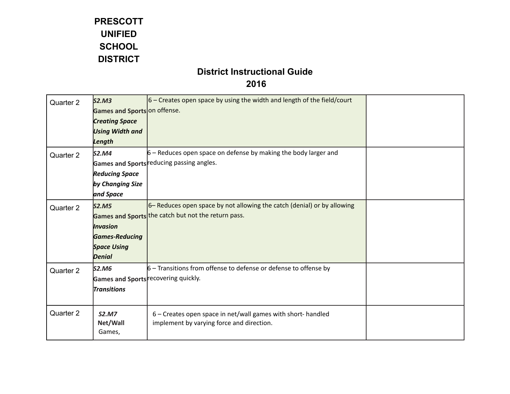| Quarter 2 | S2.M3                        | $ 6 -$ Creates open space by using the width and length of the field/court |  |
|-----------|------------------------------|----------------------------------------------------------------------------|--|
|           | Games and Sports on offense. |                                                                            |  |
|           | <b>Creating Space</b>        |                                                                            |  |
|           | <b>Using Width and</b>       |                                                                            |  |
|           | Length                       |                                                                            |  |
| Quarter 2 | S2.M4                        | $6$ – Reduces open space on defense by making the body larger and          |  |
|           |                              | Games and Sports reducing passing angles.                                  |  |
|           | <b>Reducing Space</b>        |                                                                            |  |
|           | by Changing Size             |                                                                            |  |
|           | and Space                    |                                                                            |  |
| Quarter 2 | S2.M5                        | 6– Reduces open space by not allowing the catch (denial) or by allowing    |  |
|           |                              | Games and Sports the catch but not the return pass.                        |  |
|           | <b>Invasion</b>              |                                                                            |  |
|           | <b>Games-Reducing</b>        |                                                                            |  |
|           | <b>Space Using</b>           |                                                                            |  |
|           | <b>Denial</b>                |                                                                            |  |
| Quarter 2 | S2.M6                        | $6$ – Transitions from offense to defense or defense to offense by         |  |
|           |                              | Games and Sports recovering quickly.                                       |  |
|           | <b>Transitions</b>           |                                                                            |  |
|           |                              |                                                                            |  |
| Quarter 2 | <b>S2.M7</b>                 | 6 - Creates open space in net/wall games with short- handled               |  |
|           | Net/Wall                     | implement by varying force and direction.                                  |  |
|           | Games,                       |                                                                            |  |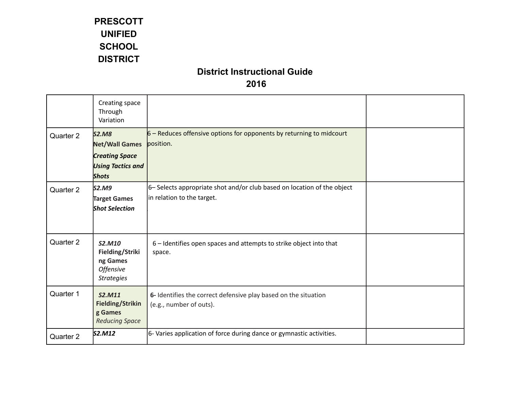|           | Creating space<br>Through<br>Variation                                                                     |                                                                                                       |  |
|-----------|------------------------------------------------------------------------------------------------------------|-------------------------------------------------------------------------------------------------------|--|
| Quarter 2 | <b>S2.M8</b><br><b>Net/Wall Games</b><br><b>Creating Space</b><br><b>Using Tactics and</b><br><b>Shots</b> | $6$ – Reduces offensive options for opponents by returning to midcourt<br>position.                   |  |
| Quarter 2 | S2.M9<br>Target Games<br><b>Shot Selection</b>                                                             | 6- Selects appropriate shot and/or club based on location of the object<br>in relation to the target. |  |
| Quarter 2 | S2.M10<br>Fielding/Striki<br>ng Games<br><b>Offensive</b><br><b>Strategies</b>                             | 6 - Identifies open spaces and attempts to strike object into that<br>space.                          |  |
| Quarter 1 | S2.M11<br><b>Fielding/Strikin</b><br>g Games<br><b>Reducing Space</b>                                      | 6- Identifies the correct defensive play based on the situation<br>(e.g., number of outs).            |  |
| Quarter 2 | S2.M12                                                                                                     | 6- Varies application of force during dance or gymnastic activities.                                  |  |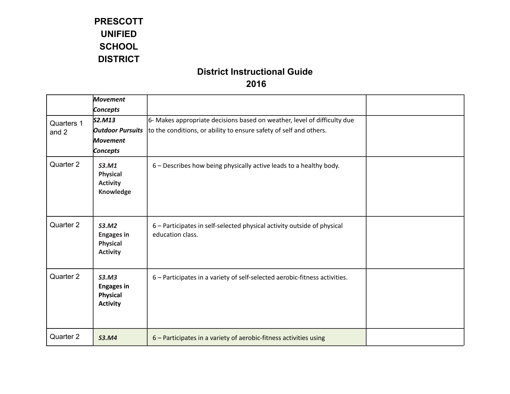|                     | <b>Movement</b>                                                  |                                                                                                                                                |  |
|---------------------|------------------------------------------------------------------|------------------------------------------------------------------------------------------------------------------------------------------------|--|
|                     | Concepts                                                         |                                                                                                                                                |  |
| Quarters 1<br>and 2 | S2.M13<br><b>Outdoor Pursuits</b><br><b>Movement</b><br>Concepts | 6- Makes appropriate decisions based on weather, level of difficulty due<br>to the conditions, or ability to ensure safety of self and others. |  |
| Quarter 2           | S3.M1<br><b>Physical</b><br><b>Activity</b><br>Knowledge         | 6 - Describes how being physically active leads to a healthy body.                                                                             |  |
| Quarter 2           | S3.M2<br><b>Engages in</b><br><b>Physical</b><br><b>Activity</b> | 6 - Participates in self-selected physical activity outside of physical<br>education class.                                                    |  |
| Quarter 2           | S3.M3<br><b>Engages in</b><br><b>Physical</b><br><b>Activity</b> | 6 - Participates in a variety of self-selected aerobic-fitness activities.                                                                     |  |
| Quarter 2           | <b>S3.M4</b>                                                     | 6 - Participates in a variety of aerobic-fitness activities using                                                                              |  |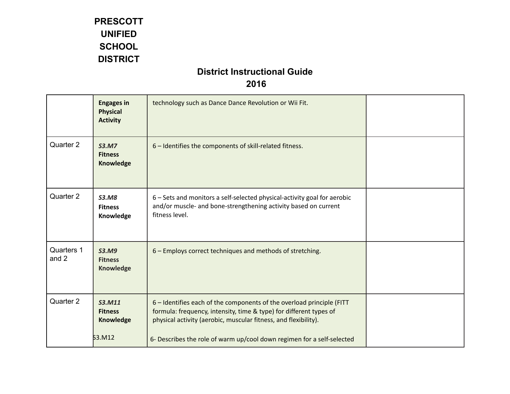|                            | <b>Engages in</b><br><b>Physical</b><br><b>Activity</b> | technology such as Dance Dance Revolution or Wii Fit.                                                                                                                                                          |  |
|----------------------------|---------------------------------------------------------|----------------------------------------------------------------------------------------------------------------------------------------------------------------------------------------------------------------|--|
| Quarter 2                  | <b>S3.M7</b><br><b>Fitness</b><br>Knowledge             | 6 - Identifies the components of skill-related fitness.                                                                                                                                                        |  |
| Quarter 2                  | <b>S3.M8</b><br><b>Fitness</b><br>Knowledge             | 6 - Sets and monitors a self-selected physical-activity goal for aerobic<br>and/or muscle- and bone-strengthening activity based on current<br>fitness level.                                                  |  |
| <b>Quarters 1</b><br>and 2 | <b>S3.M9</b><br><b>Fitness</b><br><b>Knowledge</b>      | 6 - Employs correct techniques and methods of stretching.                                                                                                                                                      |  |
| Quarter 2                  | <b>S3.M11</b><br><b>Fitness</b><br>Knowledge            | 6 - Identifies each of the components of the overload principle (FITT<br>formula: frequency, intensity, time & type) for different types of<br>physical activity (aerobic, muscular fitness, and flexibility). |  |
|                            | 53.M12                                                  | 6- Describes the role of warm up/cool down regimen for a self-selected                                                                                                                                         |  |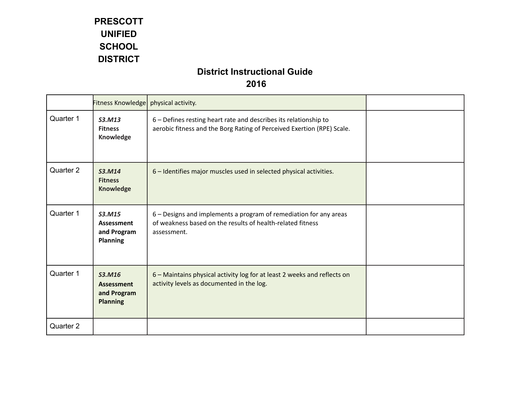|           | Fitness Knowledge   physical activity.                        |                                                                                                                                                |  |
|-----------|---------------------------------------------------------------|------------------------------------------------------------------------------------------------------------------------------------------------|--|
| Quarter 1 | S3.M13<br><b>Fitness</b><br>Knowledge                         | 6 - Defines resting heart rate and describes its relationship to<br>aerobic fitness and the Borg Rating of Perceived Exertion (RPE) Scale.     |  |
| Quarter 2 | S3.M14<br><b>Fitness</b><br><b>Knowledge</b>                  | 6 - Identifies major muscles used in selected physical activities.                                                                             |  |
| Quarter 1 | S3.M15<br>Assessment<br>and Program<br><b>Planning</b>        | 6 – Designs and implements a program of remediation for any areas<br>of weakness based on the results of health-related fitness<br>assessment. |  |
| Quarter 1 | S3.M16<br><b>Assessment</b><br>and Program<br><b>Planning</b> | 6 - Maintains physical activity log for at least 2 weeks and reflects on<br>activity levels as documented in the log.                          |  |
| Quarter 2 |                                                               |                                                                                                                                                |  |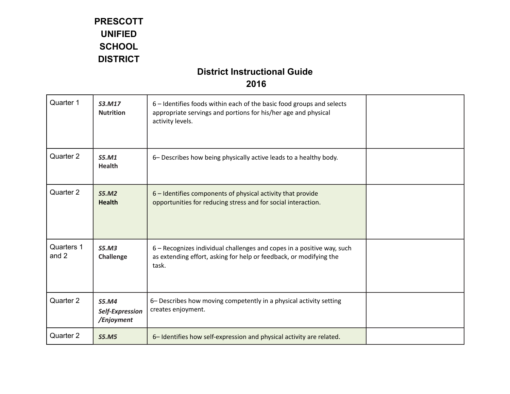| Quarter 1           | S3.M17<br><b>Nutrition</b>                    | 6 – Identifies foods within each of the basic food groups and selects<br>appropriate servings and portions for his/her age and physical<br>activity levels. |  |
|---------------------|-----------------------------------------------|-------------------------------------------------------------------------------------------------------------------------------------------------------------|--|
| Quarter 2           | S5.M1<br><b>Health</b>                        | 6- Describes how being physically active leads to a healthy body.                                                                                           |  |
| Quarter 2           | S5.M2<br><b>Health</b>                        | 6 - Identifies components of physical activity that provide<br>opportunities for reducing stress and for social interaction.                                |  |
| Quarters 1<br>and 2 | S5.M3<br>Challenge                            | 6 - Recognizes individual challenges and copes in a positive way, such<br>as extending effort, asking for help or feedback, or modifying the<br>task.       |  |
| Quarter 2           | <b>S5.M4</b><br>Self-Expression<br>/Enjoyment | 6- Describes how moving competently in a physical activity setting<br>creates enjoyment.                                                                    |  |
| Quarter 2           | <b>S5.M5</b>                                  | 6-Identifies how self-expression and physical activity are related.                                                                                         |  |